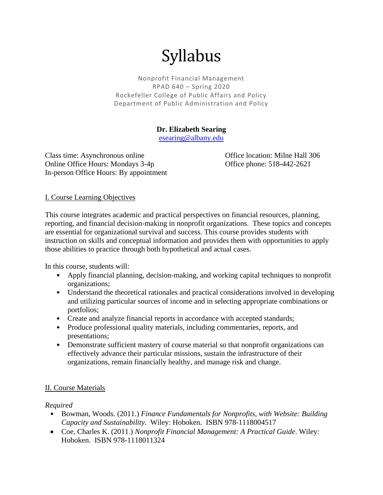# Syllabus

Nonprofit Financial Management RPAD 640 – Spring 2020 Rockefeller College of Public Affairs and Policy Department of Public Administration and Policy

# **Dr. Elizabeth Searing**

[esearing@albany.edu](mailto:esearing@albany.edu)

Class time: Asynchronous online Office location: Milne Hall 306 Online Office Hours: Mondays 3-4p Office phone: 518-442-2621 In-person Office Hours: By appointment

## I. Course Learning Objectives

This course integrates academic and practical perspectives on financial resources, planning, reporting, and financial decision-making in nonprofit organizations. These topics and concepts are essential for organizational survival and success. This course provides students with instruction on skills and conceptual information and provides them with opportunities to apply those abilities to practice through both hypothetical and actual cases.

In this course, students will:

- Apply financial planning, decision-making, and working capital techniques to nonprofit organizations;
- Understand the theoretical rationales and practical considerations involved in developing and utilizing particular sources of income and in selecting appropriate combinations or portfolios;
- Create and analyze financial reports in accordance with accepted standards;
- Produce professional quality materials, including commentaries, reports, and presentations;
- Demonstrate sufficient mastery of course material so that nonprofit organizations can effectively advance their particular missions, sustain the infrastructure of their organizations, remain financially healthy, and manage risk and change.

## II. Course Materials

#### *Required*

- Bowman, Woods. (2011.) *Finance Fundamentals for Nonprofits, with Website: Building Capacity and Sustainability*. Wiley: Hoboken. ISBN 978-1118004517
- Coe, Charles K. (2011.) *Nonprofit Financial Management: A Practical Guide*. Wiley: Hoboken. ISBN 978-1118011324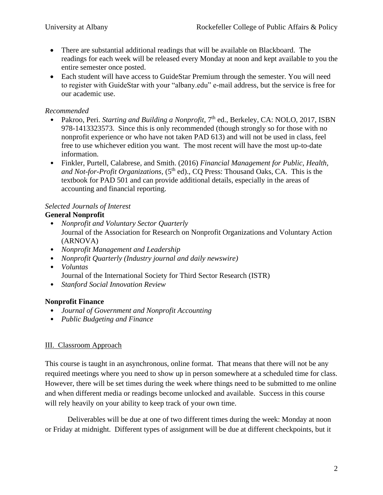- There are substantial additional readings that will be available on Blackboard. The readings for each week will be released every Monday at noon and kept available to you the entire semester once posted.
- Each student will have access to GuideStar Premium through the semester. You will need to register with GuideStar with your "albany.edu" e-mail address, but the service is free for our academic use.

# *Recommended*

- Pakroo, Peri. *Starting and Building a Nonprofit*, 7<sup>th</sup> ed., Berkeley, CA: NOLO, 2017, ISBN 978-1413323573. Since this is only recommended (though strongly so for those with no nonprofit experience or who have not taken PAD 613) and will not be used in class, feel free to use whichever edition you want. The most recent will have the most up-to-date information.
- Finkler, Purtell, Calabrese, and Smith. (2016) *Financial Management for Public, Health, and Not-for-Profit Organizations,* (5<sup>th</sup> ed)., CQ Press: Thousand Oaks, CA. This is the textbook for PAD 501 and can provide additional details, especially in the areas of accounting and financial reporting.

#### *Selected Journals of Interest* **General Nonprofit**

- *Nonprofit and Voluntary Sector Quarterly* Journal of the Association for Research on Nonprofit Organizations and Voluntary Action (ARNOVA)
- *Nonprofit Management and Leadership*
- *Nonprofit Quarterly (Industry journal and daily newswire)*
- *Voluntas* Journal of the International Society for Third Sector Research (ISTR)
- *Stanford Social Innovation Review*

# **Nonprofit Finance**

- *Journal of Government and Nonprofit Accounting*
- *Public Budgeting and Finance*

## III. Classroom Approach

This course is taught in an asynchronous, online format. That means that there will not be any required meetings where you need to show up in person somewhere at a scheduled time for class. However, there will be set times during the week where things need to be submitted to me online and when different media or readings become unlocked and available. Success in this course will rely heavily on your ability to keep track of your own time.

Deliverables will be due at one of two different times during the week: Monday at noon or Friday at midnight. Different types of assignment will be due at different checkpoints, but it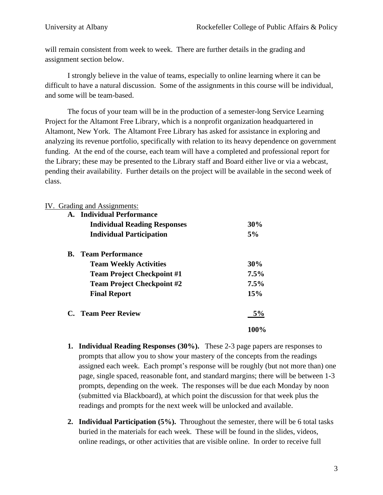will remain consistent from week to week. There are further details in the grading and assignment section below.

I strongly believe in the value of teams, especially to online learning where it can be difficult to have a natural discussion. Some of the assignments in this course will be individual, and some will be team-based.

The focus of your team will be in the production of a semester-long Service Learning Project for the Altamont Free Library, which is a nonprofit organization headquartered in Altamont, New York. The Altamont Free Library has asked for assistance in exploring and analyzing its revenue portfolio, specifically with relation to its heavy dependence on government funding. At the end of the course, each team will have a completed and professional report for the Library; these may be presented to the Library staff and Board either live or via a webcast, pending their availability. Further details on the project will be available in the second week of class.

## IV. Grading and Assignments:

|    | A. Individual Performance           |      |
|----|-------------------------------------|------|
|    | <b>Individual Reading Responses</b> | 30%  |
|    | <b>Individual Participation</b>     | 5%   |
| В. | <b>Team Performance</b>             |      |
|    | <b>Team Weekly Activities</b>       | 30%  |
|    | <b>Team Project Checkpoint #1</b>   | 7.5% |
|    | <b>Team Project Checkpoint #2</b>   | 7.5% |
|    | <b>Final Report</b>                 | 15%  |
|    | C. Team Peer Review                 | 5%   |
|    |                                     | 100% |

- **1. Individual Reading Responses (30%).** These 2-3 page papers are responses to prompts that allow you to show your mastery of the concepts from the readings assigned each week. Each prompt's response will be roughly (but not more than) one page, single spaced, reasonable font, and standard margins; there will be between 1-3 prompts, depending on the week. The responses will be due each Monday by noon (submitted via Blackboard), at which point the discussion for that week plus the readings and prompts for the next week will be unlocked and available.
- **2. Individual Participation (5%).** Throughout the semester, there will be 6 total tasks buried in the materials for each week. These will be found in the slides, videos, online readings, or other activities that are visible online. In order to receive full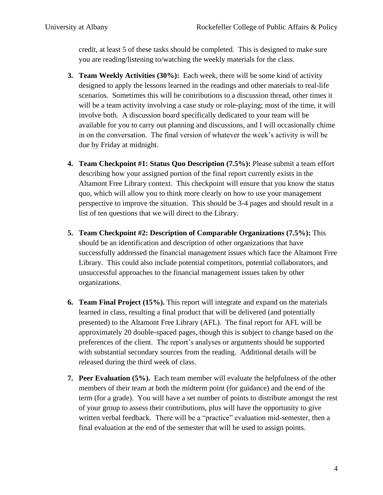credit, at least 5 of these tasks should be completed. This is designed to make sure you are reading/listening to/watching the weekly materials for the class.

- **3. Team Weekly Activities (30%):** Each week, there will be some kind of activity designed to apply the lessons learned in the readings and other materials to real-life scenarios. Sometimes this will be contributions to a discussion thread, other times it will be a team activity involving a case study or role-playing; most of the time, it will involve both. A discussion board specifically dedicated to your team will be available for you to carry out planning and discussions, and I will occasionally chime in on the conversation. The final version of whatever the week's activity is will be due by Friday at midnight.
- **4. Team Checkpoint #1: Status Quo Description (7.5%):** Please submit a team effort describing how your assigned portion of the final report currently exists in the Altamont Free Library context. This checkpoint will ensure that you know the status quo, which will allow you to think more clearly on how to use your management perspective to improve the situation. This should be 3-4 pages and should result in a list of ten questions that we will direct to the Library.
- **5. Team Checkpoint #2: Description of Comparable Organizations (7.5%):** This should be an identification and description of other organizations that have successfully addressed the financial management issues which face the Altamont Free Library. This could also include potential competitors, potential collaborators, and unsuccessful approaches to the financial management issues taken by other organizations.
- **6. Team Final Project (15%).** This report will integrate and expand on the materials learned in class, resulting a final product that will be delivered (and potentially presented) to the Altamont Free Library (AFL). The final report for AFL will be approximately 20 double-spaced pages, though this is subject to change based on the preferences of the client. The report's analyses or arguments should be supported with substantial secondary sources from the reading. Additional details will be released during the third week of class.
- **7. Peer Evaluation (5%).** Each team member will evaluate the helpfulness of the other members of their team at both the midterm point (for guidance) and the end of the term (for a grade). You will have a set number of points to distribute amongst the rest of your group to assess their contributions, plus will have the opportunity to give written verbal feedback. There will be a "practice" evaluation mid-semester, then a final evaluation at the end of the semester that will be used to assign points.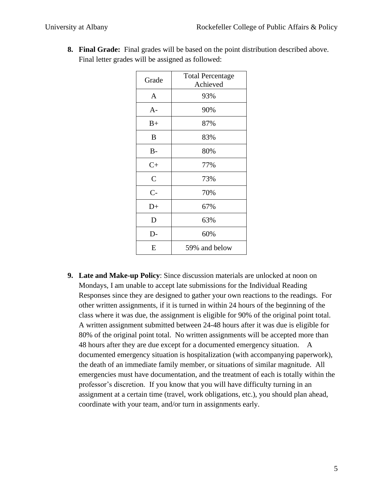| Grade              | <b>Total Percentage</b><br>Achieved |
|--------------------|-------------------------------------|
| $\mathbf{A}$       | 93%                                 |
| $A-$               | 90%                                 |
| $B+$               | 87%                                 |
| B                  | 83%                                 |
| $B-$               | 80%                                 |
| $C+$               | 77%                                 |
| $\mathcal{C}$      | 73%                                 |
| $C-$               | 70%                                 |
| $D+$               | 67%                                 |
| D                  | 63%                                 |
| D-                 | 60%                                 |
| E<br>59% and below |                                     |

**8. Final Grade:** Final grades will be based on the point distribution described above. Final letter grades will be assigned as followed:

**9. Late and Make-up Policy**: Since discussion materials are unlocked at noon on Mondays, I am unable to accept late submissions for the Individual Reading Responses since they are designed to gather your own reactions to the readings. For other written assignments, if it is turned in within 24 hours of the beginning of the class where it was due, the assignment is eligible for 90% of the original point total. A written assignment submitted between 24-48 hours after it was due is eligible for 80% of the original point total. No written assignments will be accepted more than 48 hours after they are due except for a documented emergency situation. A documented emergency situation is hospitalization (with accompanying paperwork), the death of an immediate family member, or situations of similar magnitude. All emergencies must have documentation, and the treatment of each is totally within the professor's discretion. If you know that you will have difficulty turning in an assignment at a certain time (travel, work obligations, etc.), you should plan ahead, coordinate with your team, and/or turn in assignments early.